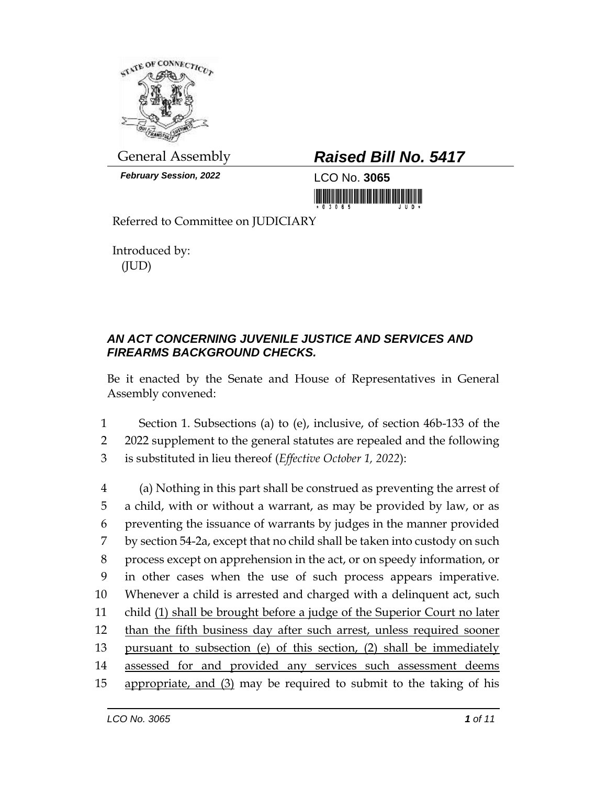

*February Session, 2022* LCO No. **3065**

## General Assembly *Raised Bill No. 5417*

<u> III di kacamatan ing Kabupatèn III di Kabupatèn III di Kabupatèn III di Kabupatèn III di Kabupatèn III di Ka</u>

Referred to Committee on JUDICIARY

Introduced by: (JUD)

## *AN ACT CONCERNING JUVENILE JUSTICE AND SERVICES AND FIREARMS BACKGROUND CHECKS.*

Be it enacted by the Senate and House of Representatives in General Assembly convened:

1 Section 1. Subsections (a) to (e), inclusive, of section 46b-133 of the 2 2022 supplement to the general statutes are repealed and the following 3 is substituted in lieu thereof (*Effective October 1, 2022*):

 (a) Nothing in this part shall be construed as preventing the arrest of a child, with or without a warrant, as may be provided by law, or as preventing the issuance of warrants by judges in the manner provided by section 54-2a, except that no child shall be taken into custody on such process except on apprehension in the act, or on speedy information, or in other cases when the use of such process appears imperative. Whenever a child is arrested and charged with a delinquent act, such child (1) shall be brought before a judge of the Superior Court no later 12 than the fifth business day after such arrest, unless required sooner pursuant to subsection (e) of this section, (2) shall be immediately assessed for and provided any services such assessment deems appropriate, and (3) may be required to submit to the taking of his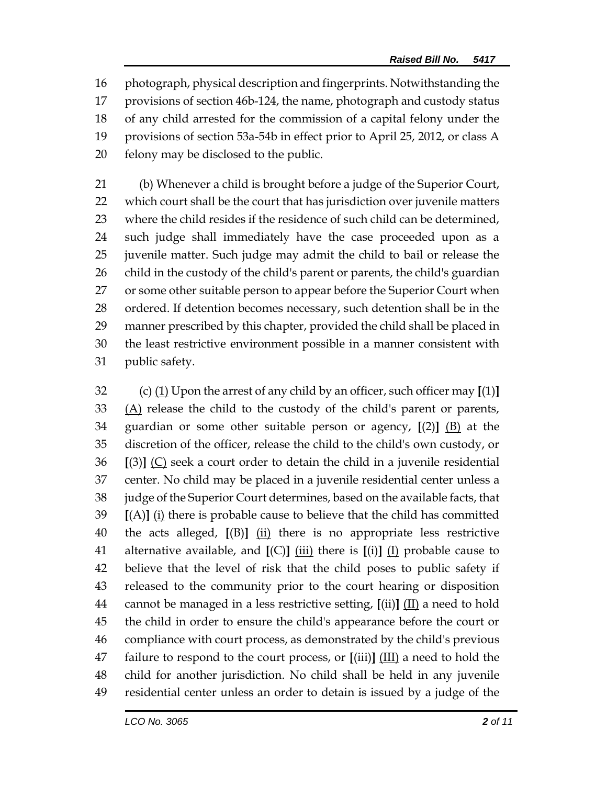photograph, physical description and fingerprints. Notwithstanding the provisions of section 46b-124, the name, photograph and custody status of any child arrested for the commission of a capital felony under the provisions of section 53a-54b in effect prior to April 25, 2012, or class A felony may be disclosed to the public.

 (b) Whenever a child is brought before a judge of the Superior Court, which court shall be the court that has jurisdiction over juvenile matters where the child resides if the residence of such child can be determined, such judge shall immediately have the case proceeded upon as a juvenile matter. Such judge may admit the child to bail or release the child in the custody of the child's parent or parents, the child's guardian or some other suitable person to appear before the Superior Court when 28 ordered. If detention becomes necessary, such detention shall be in the manner prescribed by this chapter, provided the child shall be placed in the least restrictive environment possible in a manner consistent with public safety.

 (c) (1) Upon the arrest of any child by an officer, such officer may **[**(1)**]** (A) release the child to the custody of the child's parent or parents, guardian or some other suitable person or agency, **[**(2)**]** (B) at the discretion of the officer, release the child to the child's own custody, or **[**(3)**]** (C) seek a court order to detain the child in a juvenile residential center. No child may be placed in a juvenile residential center unless a judge of the Superior Court determines, based on the available facts, that **[**(A)**]** (i) there is probable cause to believe that the child has committed the acts alleged, **[**(B)**]** (ii) there is no appropriate less restrictive alternative available, and **[**(C)**]** (iii) there is **[**(i)**]** (I) probable cause to believe that the level of risk that the child poses to public safety if released to the community prior to the court hearing or disposition cannot be managed in a less restrictive setting, **[**(ii)**]** (II) a need to hold the child in order to ensure the child's appearance before the court or compliance with court process, as demonstrated by the child's previous failure to respond to the court process, or **[**(iii)**]** (III) a need to hold the child for another jurisdiction. No child shall be held in any juvenile residential center unless an order to detain is issued by a judge of the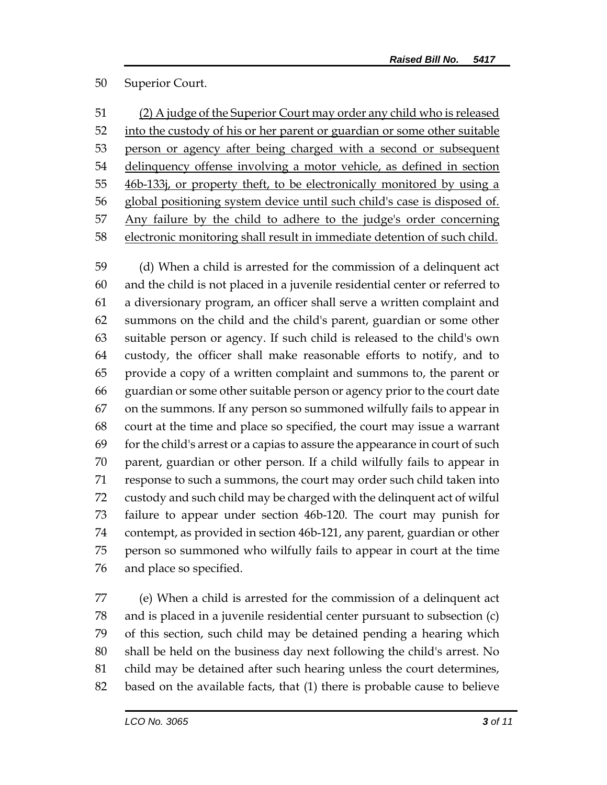## Superior Court.

 (2) A judge of the Superior Court may order any child who is released into the custody of his or her parent or guardian or some other suitable 53 person or agency after being charged with a second or subsequent delinquency offense involving a motor vehicle, as defined in section 46b-133j, or property theft, to be electronically monitored by using a global positioning system device until such child's case is disposed of. Any failure by the child to adhere to the judge's order concerning electronic monitoring shall result in immediate detention of such child.

 (d) When a child is arrested for the commission of a delinquent act and the child is not placed in a juvenile residential center or referred to a diversionary program, an officer shall serve a written complaint and summons on the child and the child's parent, guardian or some other suitable person or agency. If such child is released to the child's own custody, the officer shall make reasonable efforts to notify, and to provide a copy of a written complaint and summons to, the parent or guardian or some other suitable person or agency prior to the court date on the summons. If any person so summoned wilfully fails to appear in court at the time and place so specified, the court may issue a warrant for the child's arrest or a capias to assure the appearance in court of such parent, guardian or other person. If a child wilfully fails to appear in response to such a summons, the court may order such child taken into custody and such child may be charged with the delinquent act of wilful failure to appear under section 46b-120. The court may punish for contempt, as provided in section 46b-121, any parent, guardian or other person so summoned who wilfully fails to appear in court at the time and place so specified.

 (e) When a child is arrested for the commission of a delinquent act and is placed in a juvenile residential center pursuant to subsection (c) of this section, such child may be detained pending a hearing which shall be held on the business day next following the child's arrest. No child may be detained after such hearing unless the court determines, based on the available facts, that (1) there is probable cause to believe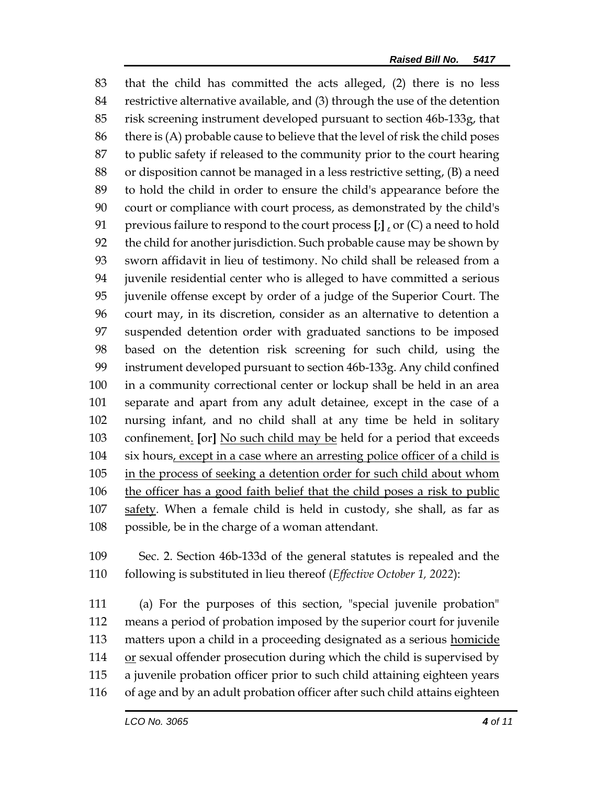that the child has committed the acts alleged, (2) there is no less restrictive alternative available, and (3) through the use of the detention risk screening instrument developed pursuant to section 46b-133g, that there is (A) probable cause to believe that the level of risk the child poses to public safety if released to the community prior to the court hearing or disposition cannot be managed in a less restrictive setting, (B) a need to hold the child in order to ensure the child's appearance before the court or compliance with court process, as demonstrated by the child's previous failure to respond to the court process **[**;**]** , or (C) a need to hold the child for another jurisdiction. Such probable cause may be shown by sworn affidavit in lieu of testimony. No child shall be released from a juvenile residential center who is alleged to have committed a serious juvenile offense except by order of a judge of the Superior Court. The court may, in its discretion, consider as an alternative to detention a suspended detention order with graduated sanctions to be imposed based on the detention risk screening for such child, using the instrument developed pursuant to section 46b-133g. Any child confined in a community correctional center or lockup shall be held in an area separate and apart from any adult detainee, except in the case of a nursing infant, and no child shall at any time be held in solitary confinement. **[**or**]** No such child may be held for a period that exceeds 104 six hours, except in a case where an arresting police officer of a child is 105 in the process of seeking a detention order for such child about whom the officer has a good faith belief that the child poses a risk to public safety. When a female child is held in custody, she shall, as far as possible, be in the charge of a woman attendant.

 Sec. 2. Section 46b-133d of the general statutes is repealed and the following is substituted in lieu thereof (*Effective October 1, 2022*):

 (a) For the purposes of this section, "special juvenile probation" means a period of probation imposed by the superior court for juvenile 113 matters upon a child in a proceeding designated as a serious homicide  $\sigma$  or sexual offender prosecution during which the child is supervised by a juvenile probation officer prior to such child attaining eighteen years of age and by an adult probation officer after such child attains eighteen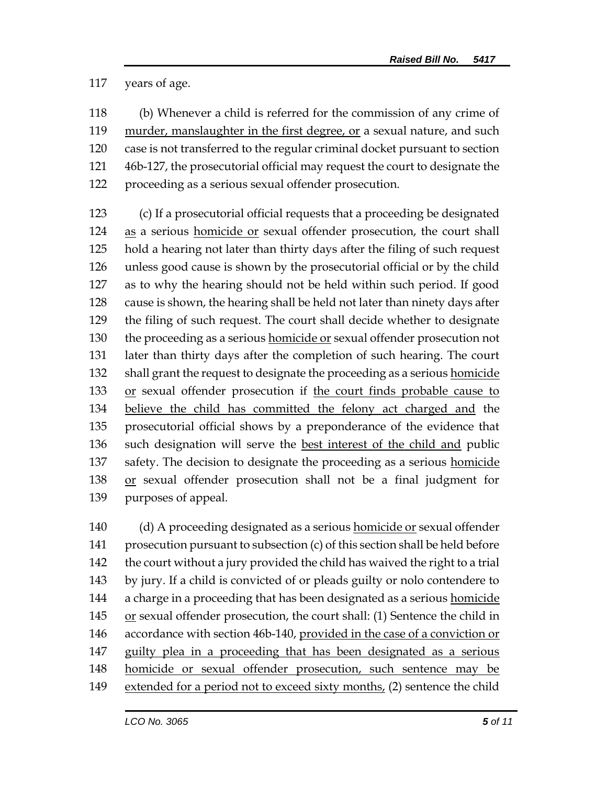years of age.

 (b) Whenever a child is referred for the commission of any crime of murder, manslaughter in the first degree, or a sexual nature, and such case is not transferred to the regular criminal docket pursuant to section 46b-127, the prosecutorial official may request the court to designate the proceeding as a serious sexual offender prosecution.

 (c) If a prosecutorial official requests that a proceeding be designated 124 as a serious homicide or sexual offender prosecution, the court shall hold a hearing not later than thirty days after the filing of such request unless good cause is shown by the prosecutorial official or by the child as to why the hearing should not be held within such period. If good cause is shown, the hearing shall be held not later than ninety days after the filing of such request. The court shall decide whether to designate the proceeding as a serious homicide or sexual offender prosecution not later than thirty days after the completion of such hearing. The court 132 shall grant the request to designate the proceeding as a serious homicide 133 or sexual offender prosecution if the court finds probable cause to believe the child has committed the felony act charged and the prosecutorial official shows by a preponderance of the evidence that such designation will serve the best interest of the child and public 137 safety. The decision to designate the proceeding as a serious **homicide** 138 or sexual offender prosecution shall not be a final judgment for purposes of appeal.

140 (d) A proceeding designated as a serious homicide or sexual offender prosecution pursuant to subsection (c) of this section shall be held before the court without a jury provided the child has waived the right to a trial by jury. If a child is convicted of or pleads guilty or nolo contendere to 144 a charge in a proceeding that has been designated as a serious homicide 145 or sexual offender prosecution, the court shall: (1) Sentence the child in 146 accordance with section 46b-140, provided in the case of a conviction or guilty plea in a proceeding that has been designated as a serious homicide or sexual offender prosecution, such sentence may be extended for a period not to exceed sixty months, (2) sentence the child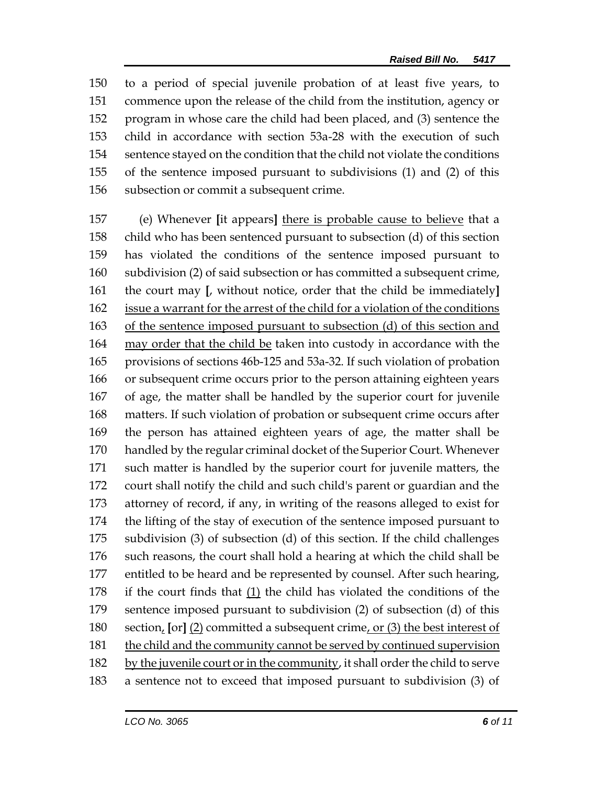to a period of special juvenile probation of at least five years, to commence upon the release of the child from the institution, agency or program in whose care the child had been placed, and (3) sentence the child in accordance with section 53a-28 with the execution of such sentence stayed on the condition that the child not violate the conditions of the sentence imposed pursuant to subdivisions (1) and (2) of this subsection or commit a subsequent crime.

 (e) Whenever **[**it appears**]** there is probable cause to believe that a child who has been sentenced pursuant to subsection (d) of this section has violated the conditions of the sentence imposed pursuant to subdivision (2) of said subsection or has committed a subsequent crime, the court may **[**, without notice, order that the child be immediately**]** issue a warrant for the arrest of the child for a violation of the conditions of the sentence imposed pursuant to subsection (d) of this section and may order that the child be taken into custody in accordance with the provisions of sections 46b-125 and 53a-32. If such violation of probation or subsequent crime occurs prior to the person attaining eighteen years of age, the matter shall be handled by the superior court for juvenile matters. If such violation of probation or subsequent crime occurs after the person has attained eighteen years of age, the matter shall be handled by the regular criminal docket of the Superior Court. Whenever such matter is handled by the superior court for juvenile matters, the court shall notify the child and such child's parent or guardian and the attorney of record, if any, in writing of the reasons alleged to exist for the lifting of the stay of execution of the sentence imposed pursuant to subdivision (3) of subsection (d) of this section. If the child challenges such reasons, the court shall hold a hearing at which the child shall be entitled to be heard and be represented by counsel. After such hearing, 178 if the court finds that  $(1)$  the child has violated the conditions of the sentence imposed pursuant to subdivision (2) of subsection (d) of this section, **[**or**]** (2) committed a subsequent crime, or (3) the best interest of the child and the community cannot be served by continued supervision by the juvenile court or in the community, it shall order the child to serve a sentence not to exceed that imposed pursuant to subdivision (3) of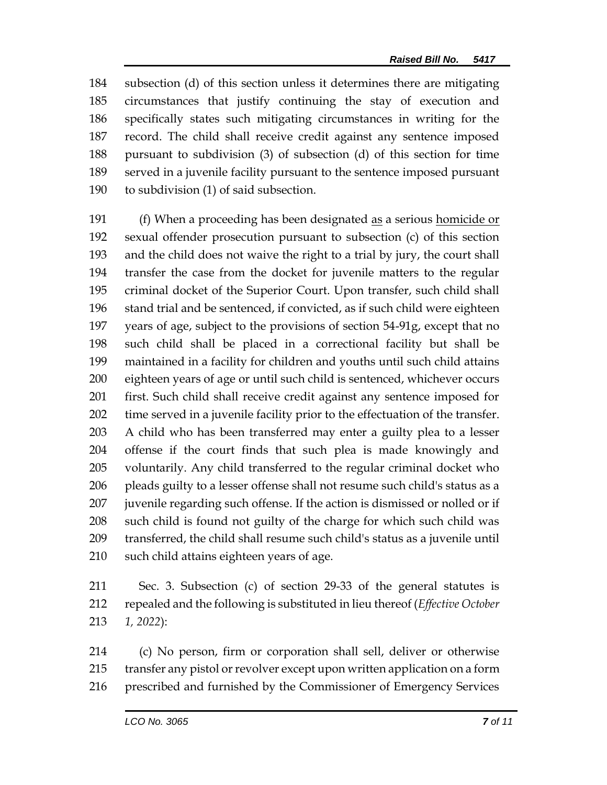subsection (d) of this section unless it determines there are mitigating circumstances that justify continuing the stay of execution and specifically states such mitigating circumstances in writing for the record. The child shall receive credit against any sentence imposed pursuant to subdivision (3) of subsection (d) of this section for time served in a juvenile facility pursuant to the sentence imposed pursuant to subdivision (1) of said subsection.

 (f) When a proceeding has been designated as a serious homicide or sexual offender prosecution pursuant to subsection (c) of this section and the child does not waive the right to a trial by jury, the court shall transfer the case from the docket for juvenile matters to the regular criminal docket of the Superior Court. Upon transfer, such child shall stand trial and be sentenced, if convicted, as if such child were eighteen years of age, subject to the provisions of section 54-91g, except that no such child shall be placed in a correctional facility but shall be maintained in a facility for children and youths until such child attains eighteen years of age or until such child is sentenced, whichever occurs first. Such child shall receive credit against any sentence imposed for time served in a juvenile facility prior to the effectuation of the transfer. A child who has been transferred may enter a guilty plea to a lesser offense if the court finds that such plea is made knowingly and voluntarily. Any child transferred to the regular criminal docket who pleads guilty to a lesser offense shall not resume such child's status as a juvenile regarding such offense. If the action is dismissed or nolled or if such child is found not guilty of the charge for which such child was transferred, the child shall resume such child's status as a juvenile until such child attains eighteen years of age.

 Sec. 3. Subsection (c) of section 29-33 of the general statutes is repealed and the following is substituted in lieu thereof (*Effective October 1, 2022*):

 (c) No person, firm or corporation shall sell, deliver or otherwise transfer any pistol or revolver except upon written application on a form prescribed and furnished by the Commissioner of Emergency Services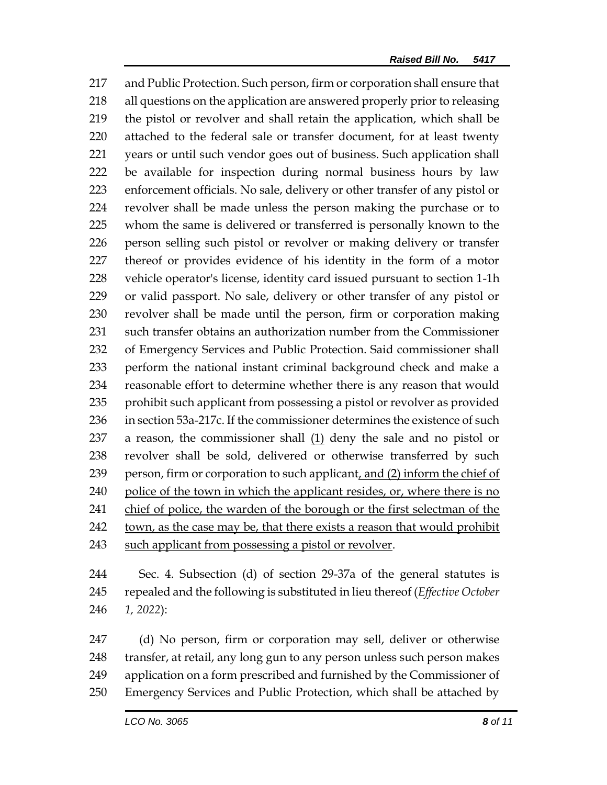and Public Protection. Such person, firm or corporation shall ensure that all questions on the application are answered properly prior to releasing the pistol or revolver and shall retain the application, which shall be attached to the federal sale or transfer document, for at least twenty years or until such vendor goes out of business. Such application shall be available for inspection during normal business hours by law enforcement officials. No sale, delivery or other transfer of any pistol or revolver shall be made unless the person making the purchase or to whom the same is delivered or transferred is personally known to the person selling such pistol or revolver or making delivery or transfer thereof or provides evidence of his identity in the form of a motor vehicle operator's license, identity card issued pursuant to section 1-1h or valid passport. No sale, delivery or other transfer of any pistol or revolver shall be made until the person, firm or corporation making such transfer obtains an authorization number from the Commissioner of Emergency Services and Public Protection. Said commissioner shall perform the national instant criminal background check and make a reasonable effort to determine whether there is any reason that would 235 prohibit such applicant from possessing a pistol or revolver as provided in section 53a-217c. If the commissioner determines the existence of such 237 a reason, the commissioner shall  $(1)$  deny the sale and no pistol or revolver shall be sold, delivered or otherwise transferred by such 239 person, firm or corporation to such applicant, and (2) inform the chief of 240 police of the town in which the applicant resides, or, where there is no chief of police, the warden of the borough or the first selectman of the town, as the case may be, that there exists a reason that would prohibit such applicant from possessing a pistol or revolver.

 Sec. 4. Subsection (d) of section 29-37a of the general statutes is repealed and the following is substituted in lieu thereof (*Effective October 1, 2022*):

 (d) No person, firm or corporation may sell, deliver or otherwise 248 transfer, at retail, any long gun to any person unless such person makes application on a form prescribed and furnished by the Commissioner of Emergency Services and Public Protection, which shall be attached by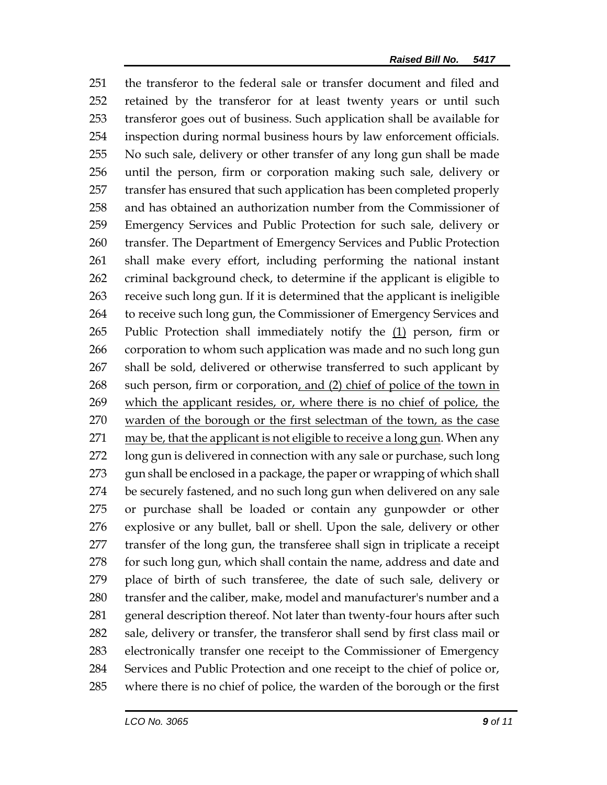the transferor to the federal sale or transfer document and filed and retained by the transferor for at least twenty years or until such transferor goes out of business. Such application shall be available for inspection during normal business hours by law enforcement officials. No such sale, delivery or other transfer of any long gun shall be made until the person, firm or corporation making such sale, delivery or transfer has ensured that such application has been completed properly and has obtained an authorization number from the Commissioner of Emergency Services and Public Protection for such sale, delivery or transfer. The Department of Emergency Services and Public Protection shall make every effort, including performing the national instant criminal background check, to determine if the applicant is eligible to receive such long gun. If it is determined that the applicant is ineligible to receive such long gun, the Commissioner of Emergency Services and 265 Public Protection shall immediately notify the (1) person, firm or corporation to whom such application was made and no such long gun 267 shall be sold, delivered or otherwise transferred to such applicant by 268 such person, firm or corporation, and (2) chief of police of the town in 269 which the applicant resides, or, where there is no chief of police, the warden of the borough or the first selectman of the town, as the case 271 may be, that the applicant is not eligible to receive a long gun. When any long gun is delivered in connection with any sale or purchase, such long 273 gun shall be enclosed in a package, the paper or wrapping of which shall be securely fastened, and no such long gun when delivered on any sale or purchase shall be loaded or contain any gunpowder or other explosive or any bullet, ball or shell. Upon the sale, delivery or other transfer of the long gun, the transferee shall sign in triplicate a receipt 278 for such long gun, which shall contain the name, address and date and place of birth of such transferee, the date of such sale, delivery or transfer and the caliber, make, model and manufacturer's number and a 281 general description thereof. Not later than twenty-four hours after such sale, delivery or transfer, the transferor shall send by first class mail or electronically transfer one receipt to the Commissioner of Emergency Services and Public Protection and one receipt to the chief of police or, where there is no chief of police, the warden of the borough or the first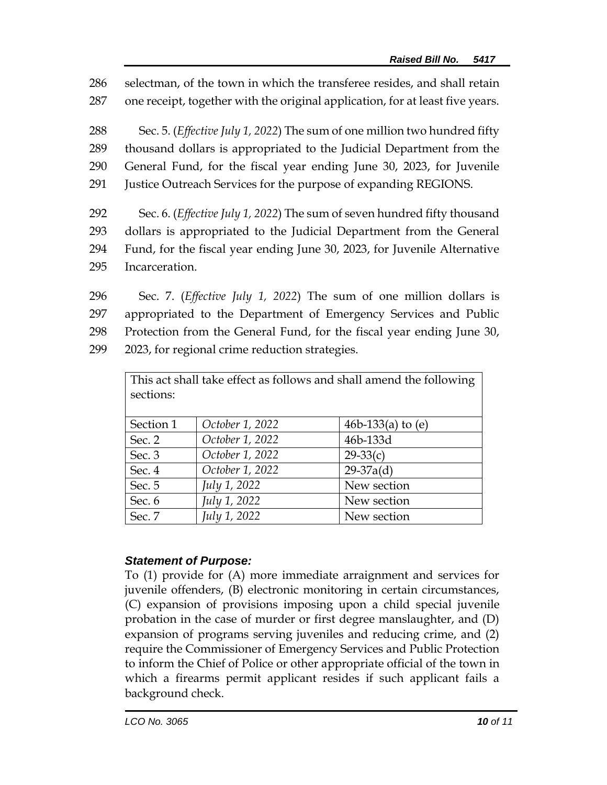286 selectman, of the town in which the transferee resides, and shall retain

287 one receipt, together with the original application, for at least five years.

 Sec. 5. (*Effective July 1, 2022*) The sum of one million two hundred fifty thousand dollars is appropriated to the Judicial Department from the General Fund, for the fiscal year ending June 30, 2023, for Juvenile Justice Outreach Services for the purpose of expanding REGIONS.

 Sec. 6. (*Effective July 1, 2022*) The sum of seven hundred fifty thousand dollars is appropriated to the Judicial Department from the General Fund, for the fiscal year ending June 30, 2023, for Juvenile Alternative Incarceration.

 Sec. 7. (*Effective July 1, 2022*) The sum of one million dollars is appropriated to the Department of Emergency Services and Public Protection from the General Fund, for the fiscal year ending June 30, 2023, for regional crime reduction strategies.

| This act shall take effect as follows and shall amend the following<br>sections: |                 |                     |
|----------------------------------------------------------------------------------|-----------------|---------------------|
| Section 1                                                                        | October 1, 2022 | 46b-133(a) to $(e)$ |
| Sec. 2                                                                           | October 1, 2022 | 46b-133d            |
| Sec. 3                                                                           | October 1, 2022 | $29-33(c)$          |
| Sec. 4                                                                           | October 1, 2022 | $29-37a(d)$         |
| Sec. 5                                                                           | July 1, 2022    | New section         |
| Sec. 6                                                                           | July 1, 2022    | New section         |
| Sec. 7                                                                           | July 1, 2022    | New section         |

## *Statement of Purpose:*

To (1) provide for (A) more immediate arraignment and services for juvenile offenders, (B) electronic monitoring in certain circumstances, (C) expansion of provisions imposing upon a child special juvenile probation in the case of murder or first degree manslaughter, and (D) expansion of programs serving juveniles and reducing crime, and (2) require the Commissioner of Emergency Services and Public Protection to inform the Chief of Police or other appropriate official of the town in which a firearms permit applicant resides if such applicant fails a background check.